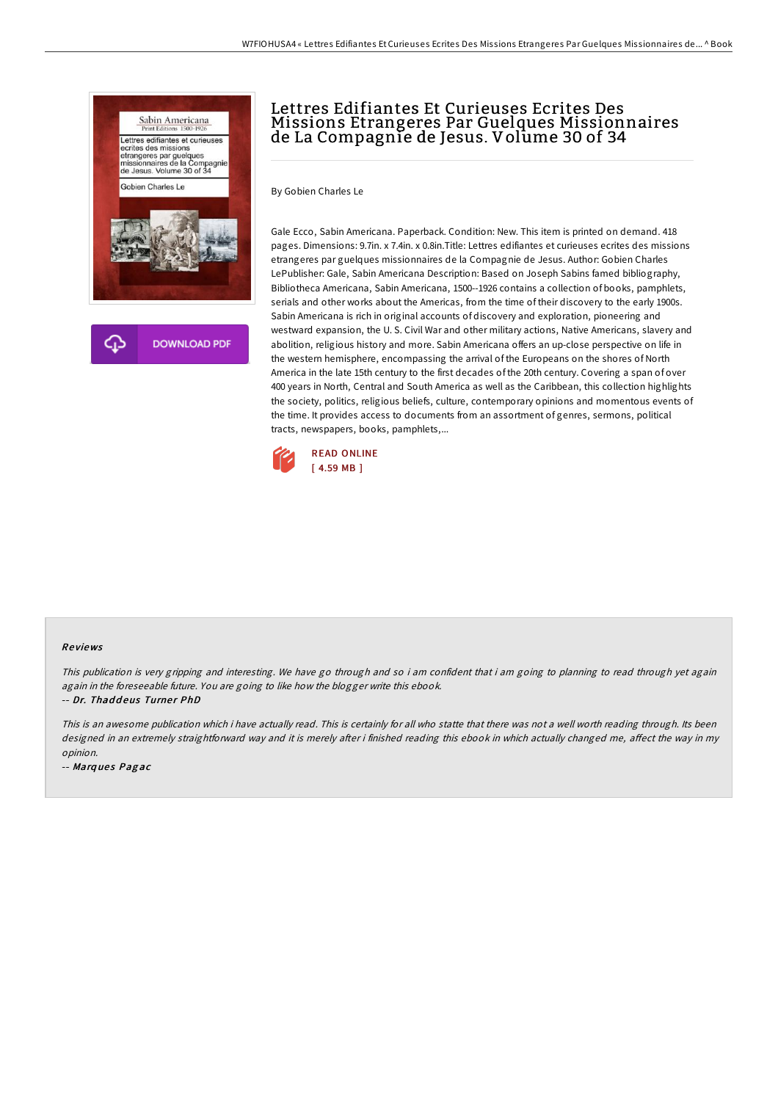

## Lettres Edifiantes Et Curieuses Ecrites Des Missions Etrangeres Par Guelques Missionnaires de La Compagnie de Jesus. Volume 30 of 34

By Gobien Charles Le

Gale Ecco, Sabin Americana. Paperback. Condition: New. This item is printed on demand. 418 pages. Dimensions: 9.7in. x 7.4in. x 0.8in.Title: Lettres edifiantes et curieuses ecrites des missions etrangeres par guelques missionnaires de la Compagnie de Jesus. Author: Gobien Charles LePublisher: Gale, Sabin Americana Description: Based on Joseph Sabins famed bibliography, Bibliotheca Americana, Sabin Americana, 1500--1926 contains a collection of books, pamphlets, serials and other works about the Americas, from the time of their discovery to the early 1900s. Sabin Americana is rich in original accounts of discovery and exploration, pioneering and westward expansion, the U. S. Civil War and other military actions, Native Americans, slavery and abolition, religious history and more. Sabin Americana offers an up-close perspective on life in the western hemisphere, encompassing the arrival of the Europeans on the shores of North America in the late 15th century to the first decades of the 20th century. Covering a span of over 400 years in North, Central and South America as well as the Caribbean, this collection highlights the society, politics, religious beliefs, culture, contemporary opinions and momentous events of the time. It provides access to documents from an assortment of genres, sermons, political tracts, newspapers, books, pamphlets,...



## Re views

This publication is very gripping and interesting. We have go through and so i am confident that i am going to planning to read through yet again again in the foreseeable future. You are going to like how the blogger write this ebook.

-- Dr. Thaddeus Turner PhD

This is an awesome publication which i have actually read. This is certainly for all who statte that there was not <sup>a</sup> well worth reading through. Its been designed in an extremely straightforward way and it is merely after i finished reading this ebook in which actually changed me, affect the way in my opinion.

-- Marques Pagac